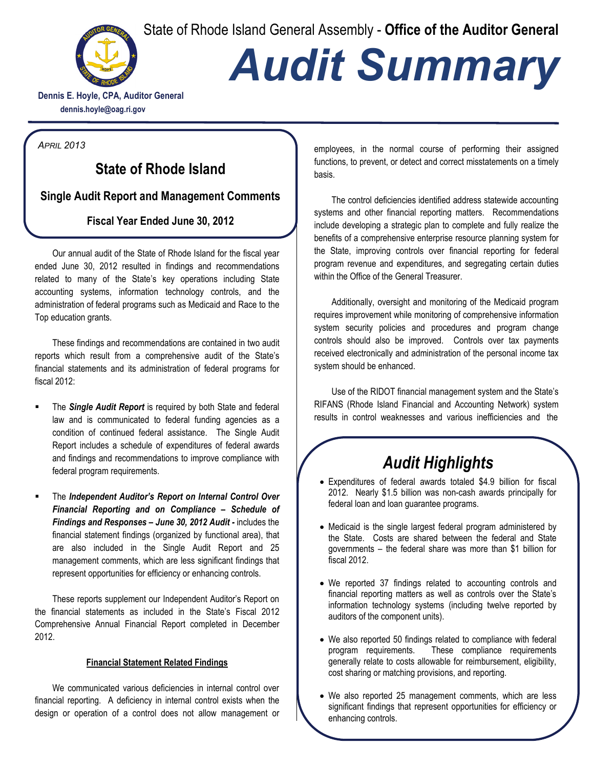State of Rhode Island General Assembly - **Office of the Auditor General**



# *Audit Summary*

**Dennis E. Hoyle, CPA, Auditor General dennis.hoyle@oag.ri.gov**

*APRIL 2013*

### **State of Rhode Island**

**Single Audit Report and Management Comments**

#### **Fiscal Year Ended June 30, 2012**

Our annual audit of the State of Rhode Island for the fiscal year ended June 30, 2012 resulted in findings and recommendations related to many of the State's key operations including State accounting systems, information technology controls, and the administration of federal programs such as Medicaid and Race to the Top education grants.

These findings and recommendations are contained in two audit reports which result from a comprehensive audit of the State's financial statements and its administration of federal programs for fiscal 2012:

- The *Single Audit Report* is required by both State and federal law and is communicated to federal funding agencies as a condition of continued federal assistance. The Single Audit Report includes a schedule of expenditures of federal awards and findings and recommendations to improve compliance with federal program requirements.
- The *Independent Auditor's Report on Internal Control Over Financial Reporting and on Compliance – Schedule of Findings and Responses – June 30, 2012 Audit -* includes the financial statement findings (organized by functional area), that are also included in the Single Audit Report and 25 management comments, which are less significant findings that represent opportunities for efficiency or enhancing controls.

These reports supplement our Independent Auditor's Report on the financial statements as included in the State's Fiscal 2012 Comprehensive Annual Financial Report completed in December 2012.

#### **Financial Statement Related Findings**

We communicated various deficiencies in internal control over financial reporting. A deficiency in internal control exists when the design or operation of a control does not allow management or employees, in the normal course of performing their assigned functions, to prevent, or detect and correct misstatements on a timely basis.

The control deficiencies identified address statewide accounting systems and other financial reporting matters. Recommendations include developing a strategic plan to complete and fully realize the benefits of a comprehensive enterprise resource planning system for the State, improving controls over financial reporting for federal program revenue and expenditures, and segregating certain duties within the Office of the General Treasurer.

Additionally, oversight and monitoring of the Medicaid program requires improvement while monitoring of comprehensive information system security policies and procedures and program change controls should also be improved. Controls over tax payments received electronically and administration of the personal income tax system should be enhanced.

Use of the RIDOT financial management system and the State's RIFANS (Rhode Island Financial and Accounting Network) system results in control weaknesses and various inefficiencies and the

## *Audit Highlights*

- Expenditures of federal awards totaled \$4.9 billion for fiscal 2012. Nearly \$1.5 billion was non-cash awards principally for federal loan and loan guarantee programs.
- Medicaid is the single largest federal program administered by the State. Costs are shared between the federal and State governments – the federal share was more than \$1 billion for fiscal 2012.
- We reported 37 findings related to accounting controls and financial reporting matters as well as controls over the State's information technology systems (including twelve reported by auditors of the component units).
- We also reported 50 findings related to compliance with federal program requirements. These compliance requirements generally relate to costs allowable for reimbursement, eligibility, cost sharing or matching provisions, and reporting.
- *page 2* • We also reported 25 management comments, which are less significant findings that represent opportunities for efficiency or enhancing controls.